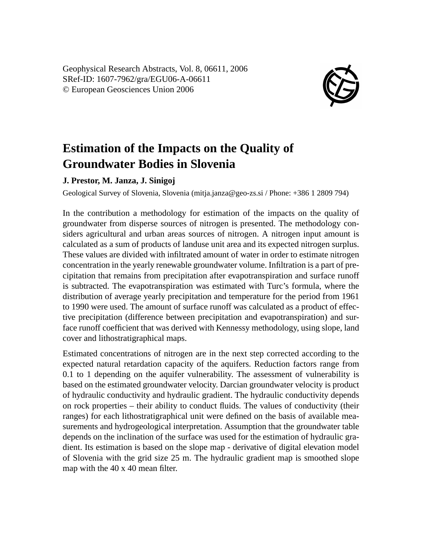Geophysical Research Abstracts, Vol. 8, 06611, 2006 SRef-ID: 1607-7962/gra/EGU06-A-06611 © European Geosciences Union 2006



## **Estimation of the Impacts on the Quality of Groundwater Bodies in Slovenia**

## **J. Prestor, M. Janza, J. Sinigoj**

Geological Survey of Slovenia, Slovenia (mitja.janza@geo-zs.si / Phone: +386 1 2809 794)

In the contribution a methodology for estimation of the impacts on the quality of groundwater from disperse sources of nitrogen is presented. The methodology considers agricultural and urban areas sources of nitrogen. A nitrogen input amount is calculated as a sum of products of landuse unit area and its expected nitrogen surplus. These values are divided with infiltrated amount of water in order to estimate nitrogen concentration in the yearly renewable groundwater volume. Infiltration is a part of precipitation that remains from precipitation after evapotranspiration and surface runoff is subtracted. The evapotranspiration was estimated with Turc's formula, where the distribution of average yearly precipitation and temperature for the period from 1961 to 1990 were used. The amount of surface runoff was calculated as a product of effective precipitation (difference between precipitation and evapotranspiration) and surface runoff coefficient that was derived with Kennessy methodology, using slope, land cover and lithostratigraphical maps.

Estimated concentrations of nitrogen are in the next step corrected according to the expected natural retardation capacity of the aquifers. Reduction factors range from 0.1 to 1 depending on the aquifer vulnerability. The assessment of vulnerability is based on the estimated groundwater velocity. Darcian groundwater velocity is product of hydraulic conductivity and hydraulic gradient. The hydraulic conductivity depends on rock properties – their ability to conduct fluids. The values of conductivity (their ranges) for each lithostratigraphical unit were defined on the basis of available measurements and hydrogeological interpretation. Assumption that the groundwater table depends on the inclination of the surface was used for the estimation of hydraulic gradient. Its estimation is based on the slope map - derivative of digital elevation model of Slovenia with the grid size 25 m. The hydraulic gradient map is smoothed slope map with the 40 x 40 mean filter.